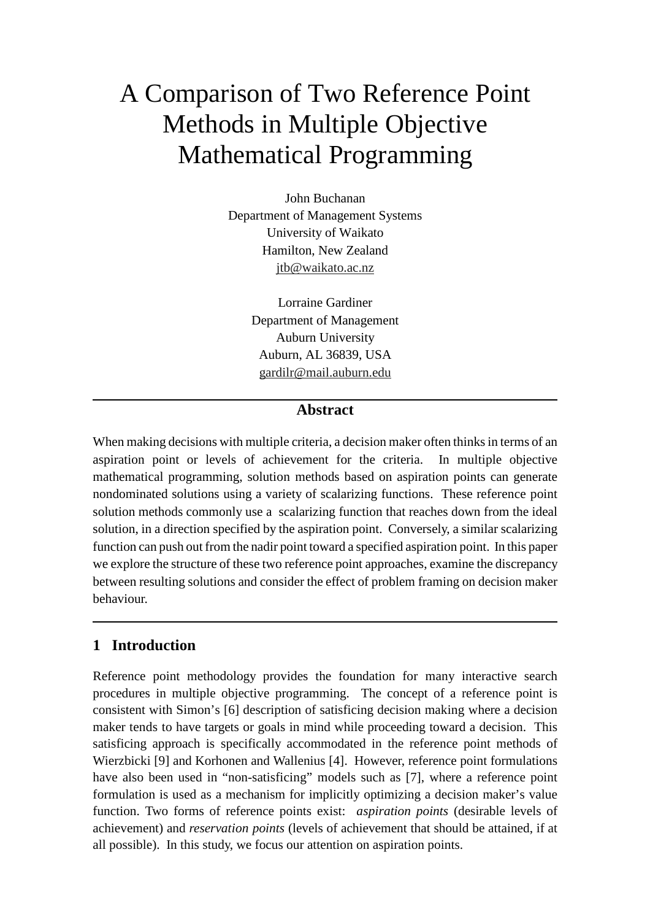# A Comparison of Two Reference Point Methods in Multiple Objective Mathematical Programming

John Buchanan Department of Management Systems University of Waikato Hamilton, New Zealand jtb@waikato.ac.nz

> Lorraine Gardiner Department of Management Auburn University Auburn, AL 36839, USA gardilr@mail.auburn.edu

# **Abstract**

When making decisions with multiple criteria, a decision maker often thinks in terms of an aspiration point or levels of achievement for the criteria. In multiple objective mathematical programming, solution methods based on aspiration points can generate nondominated solutions using a variety of scalarizing functions. These reference point solution methods commonly use a scalarizing function that reaches down from the ideal solution, in a direction specified by the aspiration point. Conversely, a similar scalarizing function can push out from the nadir point toward a specified aspiration point. In this paper we explore the structure of these two reference point approaches, examine the discrepancy between resulting solutions and consider the effect of problem framing on decision maker behaviour.

# **1 Introduction**

Reference point methodology provides the foundation for many interactive search procedures in multiple objective programming. The concept of a reference point is consistent with Simon's [6] description of satisficing decision making where a decision maker tends to have targets or goals in mind while proceeding toward a decision. This satisficing approach is specifically accommodated in the reference point methods of Wierzbicki [9] and Korhonen and Wallenius [4]. However, reference point formulations have also been used in "non-satisficing" models such as [7], where a reference point formulation is used as a mechanism for implicitly optimizing a decision maker's value function. Two forms of reference points exist: *aspiration points* (desirable levels of achievement) and *reservation points* (levels of achievement that should be attained, if at all possible). In this study, we focus our attention on aspiration points.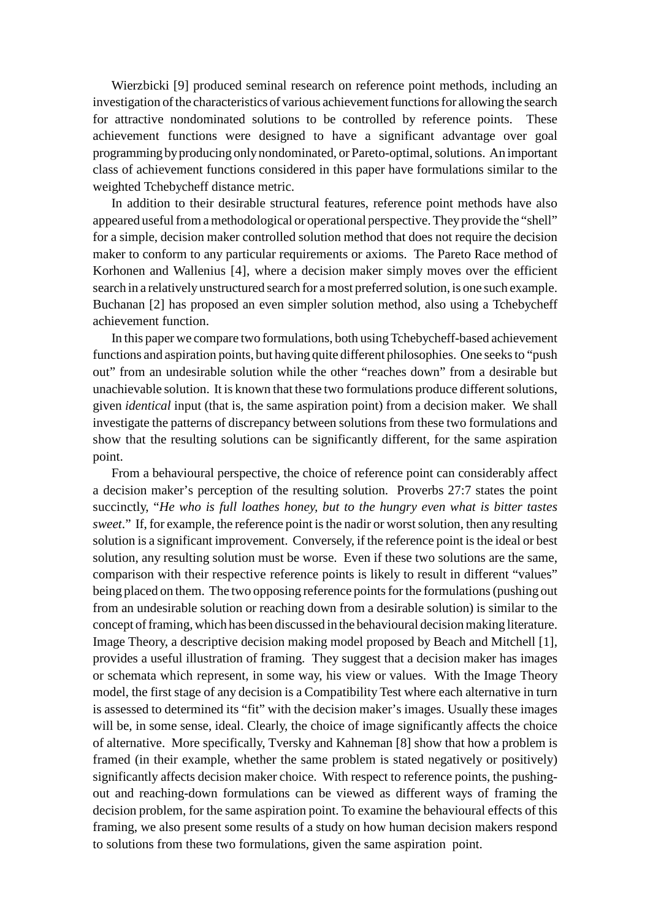Wierzbicki [9] produced seminal research on reference point methods, including an investigation of the characteristics of various achievement functions for allowing the search for attractive nondominated solutions to be controlled by reference points. These achievement functions were designed to have a significant advantage over goal programming byproducing onlynondominated, or Pareto-optimal,solutions. An important class of achievement functions considered in this paper have formulations similar to the weighted Tchebycheff distance metric.

In addition to their desirable structural features, reference point methods have also appeared useful from a methodological or operational perspective. They provide the "shell" for a simple, decision maker controlled solution method that does not require the decision maker to conform to any particular requirements or axioms. The Pareto Race method of Korhonen and Wallenius [4], where a decision maker simply moves over the efficient search in a relatively unstructured search for a most preferred solution, is one such example. Buchanan [2] has proposed an even simpler solution method, also using a Tchebycheff achievement function.

In this paper we compare two formulations, both using Tchebycheff-based achievement functions and aspiration points, but having quite different philosophies. One seeks to "push" out" from an undesirable solution while the other "reaches down" from a desirable but unachievable solution. It is known that these two formulations produce differentsolutions, given *identical* input (that is, the same aspiration point) from a decision maker. We shall investigate the patterns of discrepancy between solutions from these two formulations and show that the resulting solutions can be significantly different, for the same aspiration point.

From a behavioural perspective, the choice of reference point can considerably affect a decision maker's perception of the resulting solution. Proverbs 27:7 states the point succinctly, "*He who is full loathes honey, but to the hungry even what is bitter tastes sweet*." If, for example, the reference point isthe nadir or worstsolution, then any resulting solution is a significant improvement. Conversely, if the reference point is the ideal or best solution, any resulting solution must be worse. Even if these two solutions are the same, comparison with their respective reference points is likely to result in different "values" being placed on them. The two opposing reference points for the formulations (pushing out from an undesirable solution or reaching down from a desirable solution) is similar to the concept of framing, which has been discussed in the behavioural decision making literature. Image Theory, a descriptive decision making model proposed by Beach and Mitchell [1], provides a useful illustration of framing. They suggest that a decision maker has images or schemata which represent, in some way, his view or values. With the Image Theory model, the first stage of any decision is a Compatibility Test where each alternative in turn is assessed to determined its "fit" with the decision maker's images. Usually these images will be, in some sense, ideal. Clearly, the choice of image significantly affects the choice of alternative. More specifically, Tversky and Kahneman [8] show that how a problem is framed (in their example, whether the same problem is stated negatively or positively) significantly affects decision maker choice. With respect to reference points, the pushingout and reaching-down formulations can be viewed as different ways of framing the decision problem, for the same aspiration point. To examine the behavioural effects of this framing, we also present some results of a study on how human decision makers respond to solutions from these two formulations, given the same aspiration point.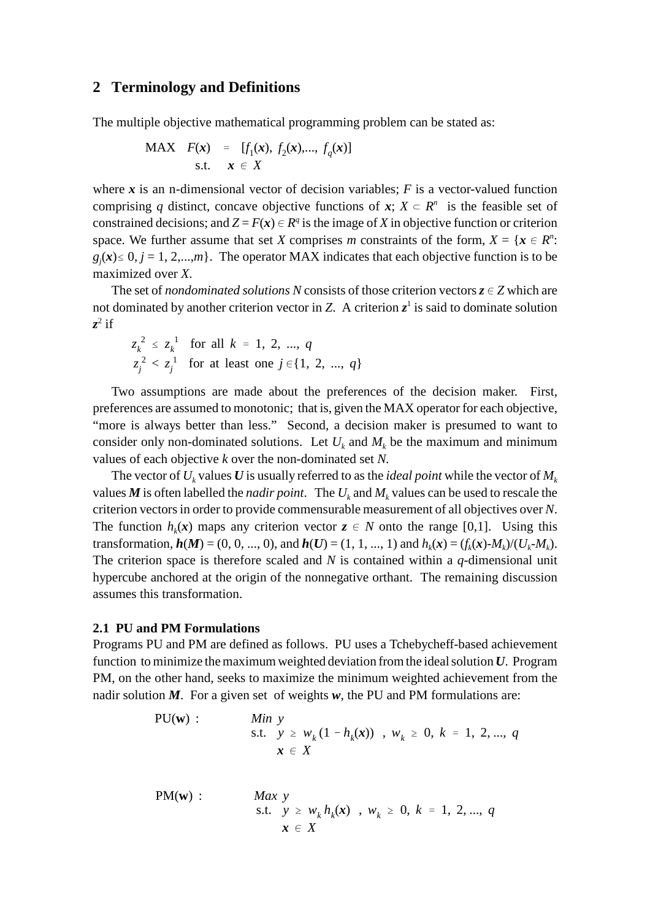#### **2 Terminology and Definitions**

The multiple objective mathematical programming problem can be stated as:

MAX 
$$
F(x) = [f_1(x), f_2(x),..., f_q(x)]
$$
  
s.t.  $x \in X$ 

where  $x$  is an n-dimensional vector of decision variables;  $F$  is a vector-valued function comprising *q* distinct, concave objective functions of  $x$ ;  $X \subset R^n$  is the feasible set of constrained decisions; and  $Z = F(x) \in R^q$  is the image of *X* in objective function or criterion space. We further assume that set *X* comprises *m* constraints of the form,  $X = \{x \in R^n :$  $g_j(x) \leq 0, j = 1, 2,...,m$ . The operator MAX indicates that each objective function is to be maximized over *X*.

The set of *nondominated solutions N* consists of those criterion vectors  $z \in Z$  which are not dominated by another criterion vector in *Z*. A criterion  $z^1$  is said to dominate solution  $z^2$  if

$$
z_k^2 \le z_k^1
$$
 for all  $k = 1, 2, ..., q$   
 $z_j^2 < z_j^1$  for at least one  $j \in \{1, 2, ..., q\}$ 

Two assumptions are made about the preferences of the decision maker. First, preferences are assumed to monotonic; that is, given the MAX operator for each objective, "more is always better than less." Second, a decision maker is presumed to want to consider only non-dominated solutions. Let  $U_k$  and  $M_k$  be the maximum and minimum values of each objective *k* over the non-dominated set *N.*

The vector of  $U_k$  values  $U$  is usually referred to as the *ideal point* while the vector of  $M_k$ values M is often labelled the *nadir point*. The  $U_k$  and  $M_k$  values can be used to rescale the criterion vectorsin order to provide commensurable measurement of all objectives over *N*. The function  $h_k(x)$  maps any criterion vector  $z \in N$  onto the range [0,1]. Using this transformation,  $h(M) = (0, 0, ..., 0)$ , and  $h(U) = (1, 1, ..., 1)$  and  $h_k(x) = (f_k(x) - M_k)/(U_k - M_k)$ . The criterion space is therefore scaled and *N* is contained within a *q*-dimensional unit hypercube anchored at the origin of the nonnegative orthant. The remaining discussion assumes this transformation.

#### **2.1 PU and PM Formulations**

Programs PU and PM are defined as follows. PU uses a Tchebycheff-based achievement function to minimize themaximumweighted deviation fromthe idealsolution *U*. Program PM, on the other hand, seeks to maximize the minimum weighted achievement from the nadir solution *M*. For a given set of weights *w*, the PU and PM formulations are:

PU(**w**) : *Min y*  
s.t. 
$$
y \ge w_k (1 - h_k(x))
$$
,  $w_k \ge 0$ ,  $k = 1, 2, ..., q$   
 $x \in X$ 

PM(**w**) : *Max y*  
s.t. 
$$
y \ge w_k h_k(x)
$$
,  $w_k \ge 0$ ,  $k = 1, 2, ..., q$   
 $x \in X$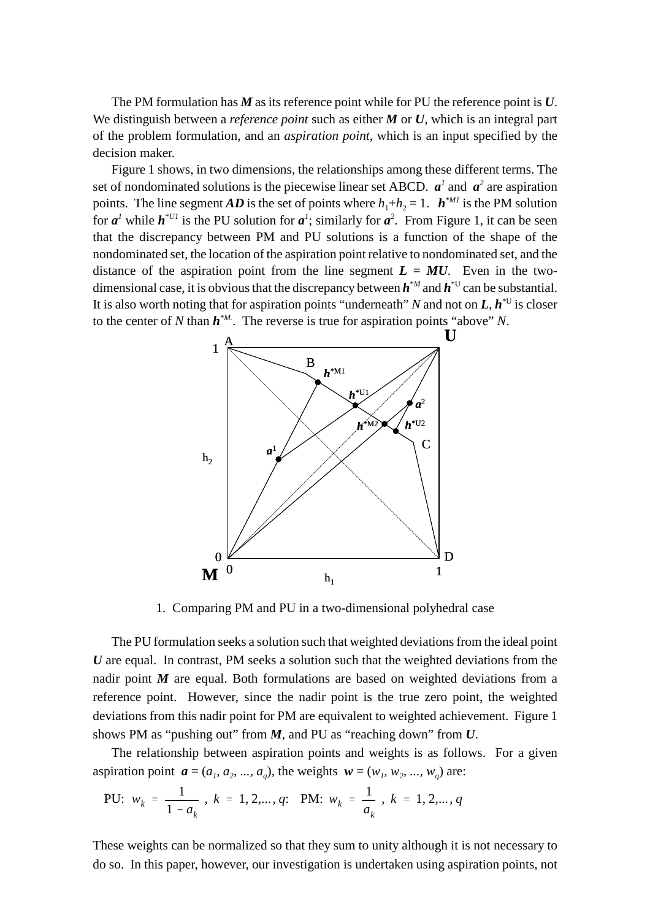The PM formulation has *M* as its reference point while for PU the reference point is *U*. We distinguish between a *reference point* such as either *M* or *U*, which is an integral part of the problem formulation, and an *aspiration point*, which is an input specified by the decision maker.

Figure 1 shows, in two dimensions, the relationships among these different terms. The set of nondominated solutions is the piecewise linear set ABCD.  $a^{\dagger}$  and  $a^2$  are aspiration points. The line segment *AD* is the set of points where  $h_1 + h_2 = 1$ .  $h^{*M1}$  is the PM solution for  $a^1$  while  $h^{*UI}$  is the PU solution for  $a^1$ ; similarly for  $a^2$ . From Figure 1, it can be seen that the discrepancy between PM and PU solutions is a function of the shape of the nondominated set, the location of the aspiration point relative to nondominated set, and the distance of the aspiration point from the line segment  $L = MU$ . Even in the twodimensional case, it is obvious that the discrepancy between  $h^{M}$  and  $h^{*U}$  can be substantial. It is also worth noting that for aspiration points "underneath" N and not on  $L, h^{\text{4U}}$  is closer to the center of *N* than  $h^{M}$ . The reverse is true for aspiration points "above" *N*.



1. Comparing PM and PU in a two-dimensional polyhedral case

The PU formulation seeks a solution such that weighted deviations from the ideal point *U* are equal. In contrast, PM seeks a solution such that the weighted deviations from the nadir point *M* are equal. Both formulations are based on weighted deviations from a reference point. However, since the nadir point is the true zero point, the weighted deviations from this nadir point for PM are equivalent to weighted achievement. Figure 1 shows PM as "pushing out" from *M*, and PU as "reaching down" from *U*.

The relationship between aspiration points and weights is as follows. For a given aspiration point  $\mathbf{a} = (a_1, a_2, ..., a_q)$ , the weights  $\mathbf{w} = (w_1, w_2, ..., w_q)$  are:

PU: 
$$
w_k = \frac{1}{1 - a_k}
$$
,  $k = 1, 2, ..., q$ : PM:  $w_k = \frac{1}{a_k}$ ,  $k = 1, 2, ..., q$ 

These weights can be normalized so that they sum to unity although it is not necessary to do so. In this paper, however, our investigation is undertaken using aspiration points, not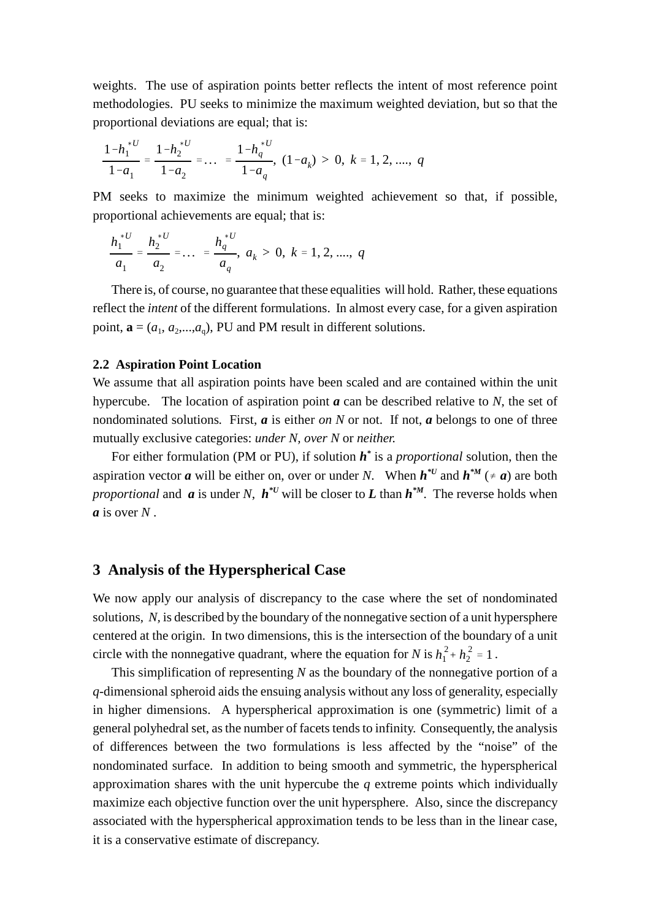weights. The use of aspiration points better reflects the intent of most reference point methodologies. PU seeks to minimize the maximum weighted deviation, but so that the proportional deviations are equal; that is:

$$
\frac{1-h_1^{*U}}{1-a_1} = \frac{1-h_2^{*U}}{1-a_2} = \dots = \frac{1-h_q^{*U}}{1-a_q}, (1-a_k) > 0, k = 1, 2, \dots, q
$$

PM seeks to maximize the minimum weighted achievement so that, if possible, proportional achievements are equal; that is:

$$
\frac{h_1^{*U}}{a_1} = \frac{h_2^{*U}}{a_2} = \dots = \frac{h_q^{*U}}{a_q}, \ a_k > 0, \ k = 1, 2, \dots, q
$$

There is, of course, no guarantee that these equalities will hold. Rather, these equations reflect the *intent* of the different formulations. In almost every case, for a given aspiration point,  $\mathbf{a} = (a_1, a_2, \dots, a_q)$ , PU and PM result in different solutions.

#### **2.2 Aspiration Point Location**

We assume that all aspiration points have been scaled and are contained within the unit hypercube. The location of aspiration point *a* can be described relative to *N*, the set of nondominated solutions*.* First, *a* is either *on N* or not. If not, *a* belongs to one of three mutually exclusive categories: *under N, over N* or *neither.*

For either formulation (PM or PU), if solution *h \** is a *proportional* solution, then the aspiration vector *a* will be either on, over or under *N*. When  $h^{*U}$  and  $h^{*M}$  ( $\neq a$ ) are both *proportional* and *a* is under *N*,  $h^*U$  will be closer to *L* than  $h^*M$ . The reverse holds when *a* is over *N* .

### **3 Analysis of the Hyperspherical Case**

We now apply our analysis of discrepancy to the case where the set of nondominated solutions, *N,* is described by the boundary of the nonnegative section of a unit hypersphere centered at the origin. In two dimensions, this is the intersection of the boundary of a unit circle with the nonnegative quadrant, where the equation for *N* is  $h_1^2 + h_2^2 = 1$ .

This simplification of representing *N* as the boundary of the nonnegative portion of a *q*-dimensional spheroid aids the ensuing analysis without any loss of generality, especially in higher dimensions. A hyperspherical approximation is one (symmetric) limit of a general polyhedral set, as the number of facets tends to infinity. Consequently, the analysis of differences between the two formulations is less affected by the "noise" of the nondominated surface. In addition to being smooth and symmetric, the hyperspherical approximation shares with the unit hypercube the *q* extreme points which individually maximize each objective function over the unit hypersphere. Also, since the discrepancy associated with the hyperspherical approximation tends to be less than in the linear case, it is a conservative estimate of discrepancy.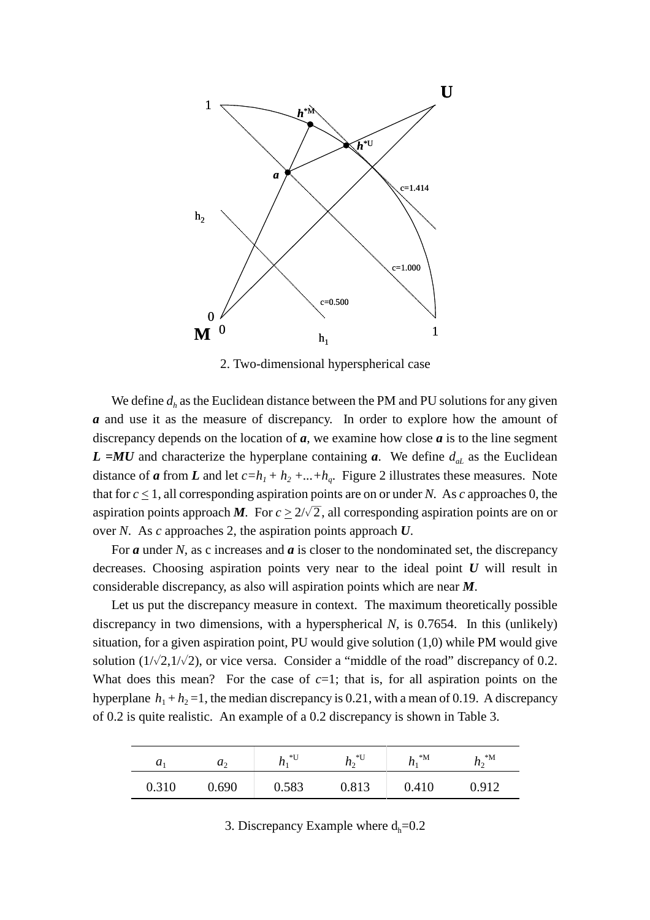

2. Two-dimensional hyperspherical case

We define  $d_h$  as the Euclidean distance between the PM and PU solutions for any given *a* and use it as the measure of discrepancy. In order to explore how the amount of discrepancy depends on the location of *a*, we examine how close *a* is to the line segment  $L = MU$  and characterize the hyperplane containing *a*. We define  $d_{aL}$  as the Euclidean distance of *a* from *L* and let  $c=h_1+h_2+...+h_q$ . Figure 2 illustrates these measures. Note that for  $c \le 1$ , all corresponding aspiration points are on or under *N*. As *c* approaches 0, the aspiration points approach *M*. For  $c \geq 2/\sqrt{2}$ , all corresponding aspiration points are on or over *N*. As *c* approaches 2, the aspiration points approach *U*.

For *a* under *N,* as c increases and *a* is closer to the nondominated set, the discrepancy decreases. Choosing aspiration points very near to the ideal point *U* will result in considerable discrepancy, as also will aspiration points which are near *M*.

Let us put the discrepancy measure in context. The maximum theoretically possible discrepancy in two dimensions, with a hyperspherical *N*, is 0.7654. In this (unlikely) situation, for a given aspiration point, PU would give solution (1,0) while PM would give solution  $(1/\sqrt{2},1/\sqrt{2})$ , or vice versa. Consider a "middle of the road" discrepancy of 0.2. What does this mean? For the case of  $c=1$ ; that is, for all aspiration points on the hyperplane  $h_1 + h_2 = 1$ , the median discrepancy is 0.21, with a mean of 0.19. A discrepancy of 0.2 is quite realistic. An example of a 0.2 discrepancy is shown in Table 3.

| $\boldsymbol{u}_1$ | $u_{2}$ | *U<br>$\mu_1$ | *U<br>$\mathbf{u}$ | $^*M$<br>111 | $^*M$<br>112 |
|--------------------|---------|---------------|--------------------|--------------|--------------|
| 0.310              | 0.690   | 0.583         | 0.813              | 0.410        | 912          |

3. Discrepancy Example where  $d_h=0.2$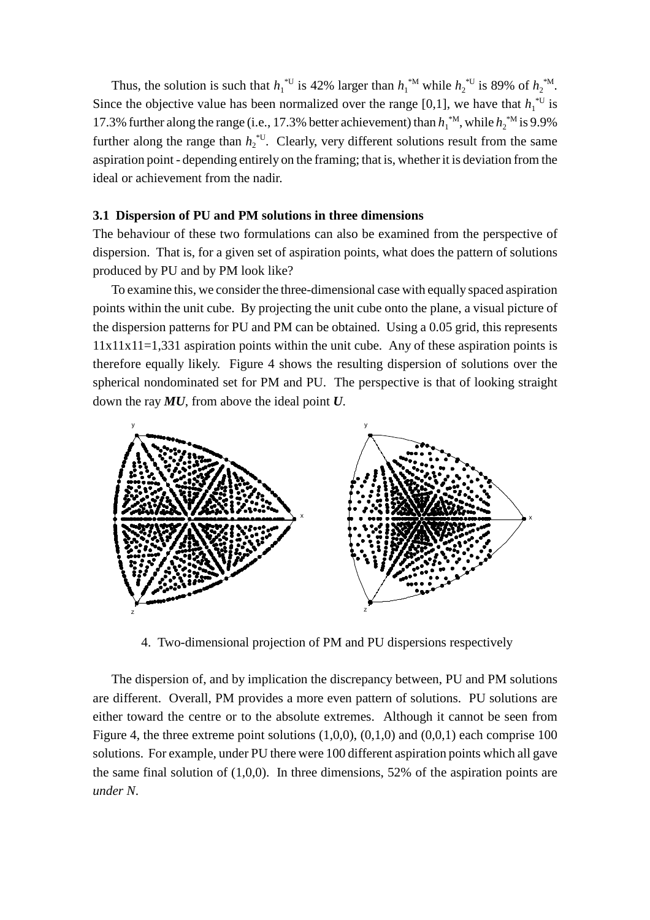Thus, the solution is such that  $h_1^{\text{*U}}$  is 42% larger than  $h_1^{\text{*M}}$  while  $h_2^{\text{*U}}$  is 89% of  $h_2^{\text{*M}}$ . Since the objective value has been normalized over the range [0,1], we have that  $h_1^{\text{*U}}$  is 17.3% further along the range (i.e., 17.3% better achievement) than  $h_1^{M}$ , while  $h_2^{M}$  is 9.9% further along the range than  $h_2^{\text{U}}$ . Clearly, very different solutions result from the same aspiration point - depending entirely on the framing; that is, whether it is deviation from the ideal or achievement from the nadir.

### **3.1 Dispersion of PU and PM solutions in three dimensions**

The behaviour of these two formulations can also be examined from the perspective of dispersion. That is, for a given set of aspiration points, what does the pattern of solutions produced by PU and by PM look like?

To examine this, we consider the three-dimensional case with equally spaced aspiration points within the unit cube. By projecting the unit cube onto the plane, a visual picture of the dispersion patterns for PU and PM can be obtained. Using a 0.05 grid, this represents  $11x11x11=1,331$  aspiration points within the unit cube. Any of these aspiration points is therefore equally likely. Figure 4 shows the resulting dispersion of solutions over the spherical nondominated set for PM and PU. The perspective is that of looking straight down the ray *MU*, from above the ideal point *U*.



4. Two-dimensional projection of PM and PU dispersions respectively

The dispersion of, and by implication the discrepancy between, PU and PM solutions are different. Overall, PM provides a more even pattern of solutions. PU solutions are either toward the centre or to the absolute extremes. Although it cannot be seen from Figure 4, the three extreme point solutions  $(1,0,0)$ ,  $(0,1,0)$  and  $(0,0,1)$  each comprise 100 solutions. For example, under PU there were 100 different aspiration points which all gave the same final solution of (1,0,0). In three dimensions, 52% of the aspiration points are *under N*.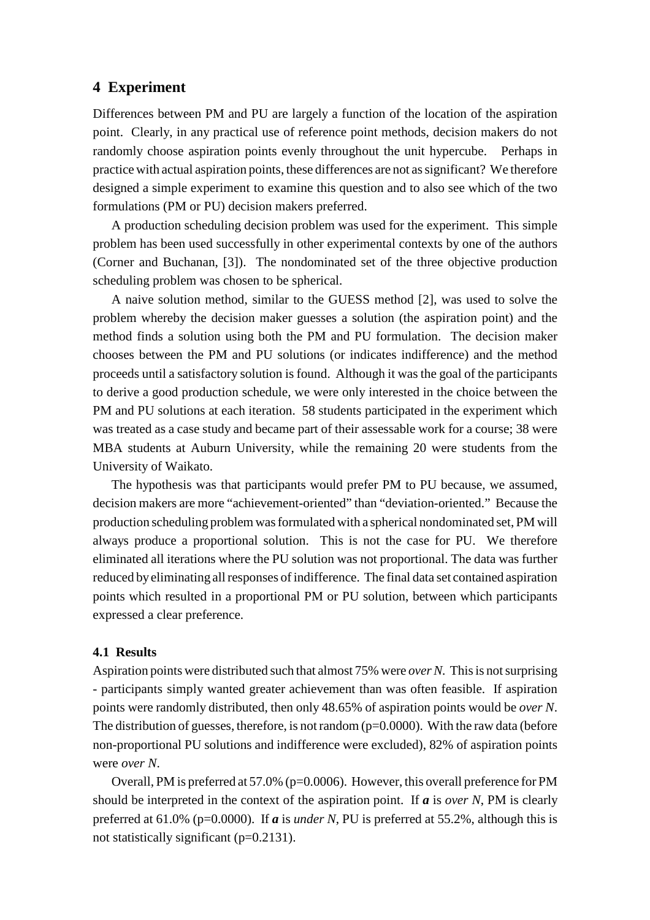# **4 Experiment**

Differences between PM and PU are largely a function of the location of the aspiration point. Clearly, in any practical use of reference point methods, decision makers do not randomly choose aspiration points evenly throughout the unit hypercube. Perhaps in practice with actual aspiration points, these differences are not assignificant? We therefore designed a simple experiment to examine this question and to also see which of the two formulations (PM or PU) decision makers preferred.

A production scheduling decision problem was used for the experiment. This simple problem has been used successfully in other experimental contexts by one of the authors (Corner and Buchanan, [3]). The nondominated set of the three objective production scheduling problem was chosen to be spherical.

A naive solution method, similar to the GUESS method [2], was used to solve the problem whereby the decision maker guesses a solution (the aspiration point) and the method finds a solution using both the PM and PU formulation. The decision maker chooses between the PM and PU solutions (or indicates indifference) and the method proceeds until a satisfactory solution is found. Although it was the goal of the participants to derive a good production schedule, we were only interested in the choice between the PM and PU solutions at each iteration. 58 students participated in the experiment which was treated as a case study and became part of their assessable work for a course; 38 were MBA students at Auburn University, while the remaining 20 were students from the University of Waikato.

The hypothesis was that participants would prefer PM to PU because, we assumed, decision makers are more "achievement-oriented" than "deviation-oriented." Because the production scheduling problemwasformulated with a spherical nondominated set, PM will always produce a proportional solution. This is not the case for PU. We therefore eliminated all iterations where the PU solution was not proportional. The data was further reduced byeliminating allresponses ofindifference. The final data set contained aspiration points which resulted in a proportional PM or PU solution, between which participants expressed a clear preference.

#### **4.1 Results**

Aspiration points were distributed such that almost 75% were *overN.* Thisis notsurprising - participants simply wanted greater achievement than was often feasible. If aspiration points were randomly distributed, then only 48.65% of aspiration points would be *over N*. The distribution of guesses, therefore, is not random  $(p=0.0000)$ . With the raw data (before non-proportional PU solutions and indifference were excluded), 82% of aspiration points were *over N*.

Overall, PM is preferred at 57.0% (p=0.0006). However, this overall preference for PM should be interpreted in the context of the aspiration point. If *a* is *over N*, PM is clearly preferred at  $61.0\%$  (p=0.0000). If *a* is *under N*, PU is preferred at 55.2%, although this is not statistically significant (p=0.2131).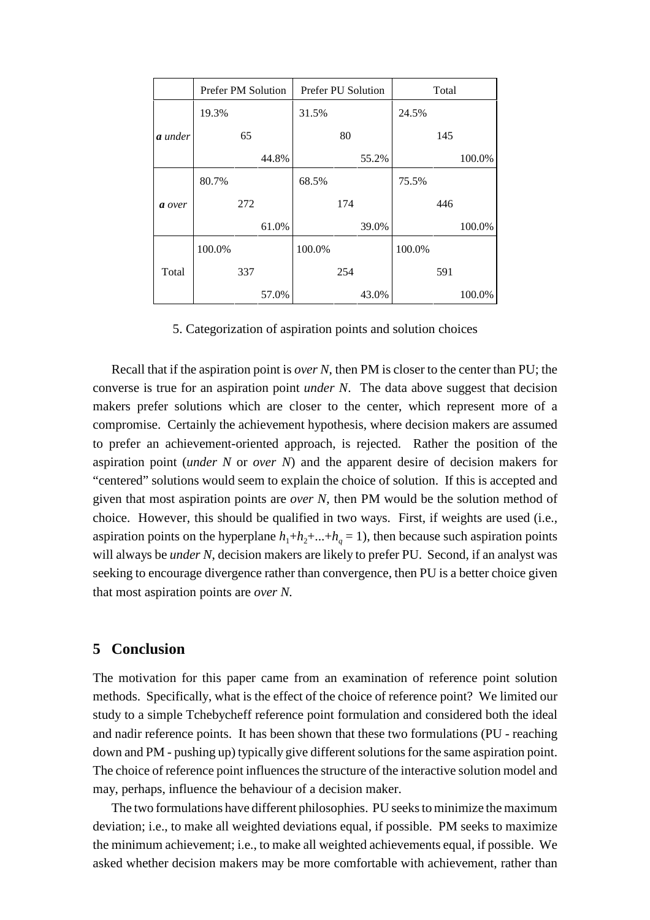|                | <b>Prefer PM Solution</b> |     |       | Prefer PU Solution |     |       | Total  |     |        |
|----------------|---------------------------|-----|-------|--------------------|-----|-------|--------|-----|--------|
|                | 19.3%                     |     |       | 31.5%              |     |       | 24.5%  |     |        |
| <b>a</b> under |                           | 65  |       |                    | 80  |       |        | 145 |        |
|                |                           |     | 44.8% |                    |     | 55.2% |        |     | 100.0% |
|                | 80.7%                     |     |       | 68.5%              |     |       | 75.5%  |     |        |
| a over         |                           | 272 |       |                    | 174 |       |        | 446 |        |
|                |                           |     | 61.0% |                    |     | 39.0% |        |     | 100.0% |
|                | 100.0%                    |     |       | 100.0%             |     |       | 100.0% |     |        |
| Total          |                           | 337 |       |                    | 254 |       |        | 591 |        |
|                |                           |     | 57.0% |                    |     | 43.0% |        |     | 100.0% |

5. Categorization of aspiration points and solution choices

Recall that if the aspiration point is *over N*, then PM is closer to the center than PU; the converse is true for an aspiration point *under N*. The data above suggest that decision makers prefer solutions which are closer to the center, which represent more of a compromise. Certainly the achievement hypothesis, where decision makers are assumed to prefer an achievement-oriented approach, is rejected. Rather the position of the aspiration point (*under N* or *over N*) and the apparent desire of decision makers for "centered" solutions would seem to explain the choice of solution. If this is accepted and given that most aspiration points are *over N*, then PM would be the solution method of choice. However, this should be qualified in two ways. First, if weights are used (i.e., aspiration points on the hyperplane  $h_1+h_2+\ldots+h_q=1$ , then because such aspiration points will always be *under N*, decision makers are likely to prefer PU. Second, if an analyst was seeking to encourage divergence rather than convergence, then PU is a better choice given that most aspiration points are *over N.*

# **5 Conclusion**

The motivation for this paper came from an examination of reference point solution methods. Specifically, what is the effect of the choice of reference point? We limited our study to a simple Tchebycheff reference point formulation and considered both the ideal and nadir reference points. It has been shown that these two formulations (PU - reaching down and PM - pushing up) typically give different solutions for the same aspiration point. The choice of reference point influences the structure of the interactive solution model and may, perhaps, influence the behaviour of a decision maker.

The two formulations have different philosophies. PU seeks to minimize the maximum deviation; i.e., to make all weighted deviations equal, if possible. PM seeks to maximize the minimum achievement; i.e., to make all weighted achievements equal, if possible. We asked whether decision makers may be more comfortable with achievement, rather than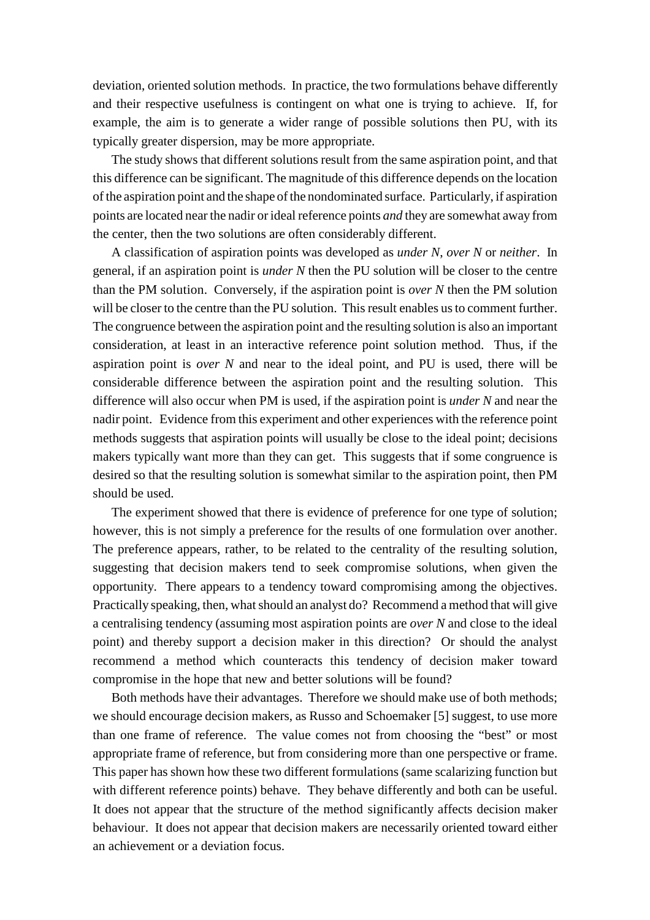deviation, oriented solution methods. In practice, the two formulations behave differently and their respective usefulness is contingent on what one is trying to achieve. If, for example, the aim is to generate a wider range of possible solutions then PU, with its typically greater dispersion, may be more appropriate.

The study shows that different solutions result from the same aspiration point, and that this difference can be significant. The magnitude of this difference depends on the location of the aspiration point and the shape of the nondominated surface. Particularly, if aspiration points are located near the nadir or ideal reference points *and* they are somewhat away from the center, then the two solutions are often considerably different.

A classification of aspiration points was developed as *under N*, *over N* or *neither*. In general, if an aspiration point is *under N* then the PU solution will be closer to the centre than the PM solution. Conversely, if the aspiration point is *over N* then the PM solution will be closer to the centre than the PU solution. This result enables us to comment further. The congruence between the aspiration point and the resulting solution is also an important consideration, at least in an interactive reference point solution method. Thus, if the aspiration point is *over N* and near to the ideal point, and PU is used, there will be considerable difference between the aspiration point and the resulting solution. This difference will also occur when PM is used, if the aspiration point is *under N* and near the nadir point. Evidence from this experiment and other experiences with the reference point methods suggests that aspiration points will usually be close to the ideal point; decisions makers typically want more than they can get. This suggests that if some congruence is desired so that the resulting solution is somewhat similar to the aspiration point, then PM should be used.

The experiment showed that there is evidence of preference for one type of solution; however, this is not simply a preference for the results of one formulation over another. The preference appears, rather, to be related to the centrality of the resulting solution, suggesting that decision makers tend to seek compromise solutions, when given the opportunity. There appears to a tendency toward compromising among the objectives. Practically speaking, then, what should an analyst do? Recommend a method that will give a centralising tendency (assuming most aspiration points are *over N* and close to the ideal point) and thereby support a decision maker in this direction? Or should the analyst recommend a method which counteracts this tendency of decision maker toward compromise in the hope that new and better solutions will be found?

Both methods have their advantages. Therefore we should make use of both methods; we should encourage decision makers, as Russo and Schoemaker [5] suggest, to use more than one frame of reference. The value comes not from choosing the "best" or most appropriate frame of reference, but from considering more than one perspective or frame. This paper has shown how these two different formulations (same scalarizing function but with different reference points) behave. They behave differently and both can be useful. It does not appear that the structure of the method significantly affects decision maker behaviour. It does not appear that decision makers are necessarily oriented toward either an achievement or a deviation focus.